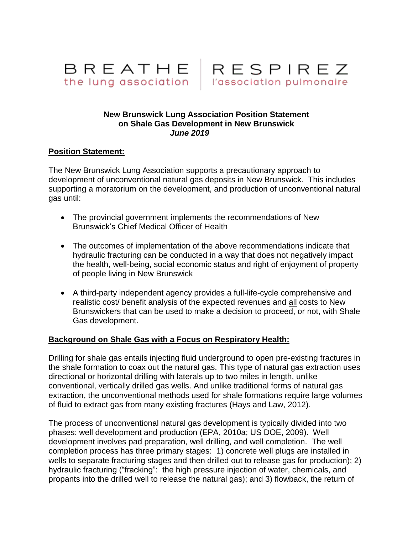



## **New Brunswick Lung Association Position Statement on Shale Gas Development in New Brunswick** *June 2019*

## **Position Statement:**

The New Brunswick Lung Association supports a precautionary approach to development of unconventional natural gas deposits in New Brunswick. This includes supporting a moratorium on the development, and production of unconventional natural gas until:

- The provincial government implements the recommendations of New Brunswick's Chief Medical Officer of Health
- The outcomes of implementation of the above recommendations indicate that hydraulic fracturing can be conducted in a way that does not negatively impact the health, well-being, social economic status and right of enjoyment of property of people living in New Brunswick
- A third-party independent agency provides a full-life-cycle comprehensive and realistic cost/ benefit analysis of the expected revenues and all costs to New Brunswickers that can be used to make a decision to proceed, or not, with Shale Gas development.

## **Background on Shale Gas with a Focus on Respiratory Health:**

Drilling for shale gas entails injecting fluid underground to open pre-existing fractures in the shale formation to coax out the natural gas. This type of natural gas extraction uses directional or horizontal drilling with laterals up to two miles in length, unlike conventional, vertically drilled gas wells. And unlike traditional forms of natural gas extraction, the unconventional methods used for shale formations require large volumes of fluid to extract gas from many existing fractures (Hays and Law, 2012).

The process of unconventional natural gas development is typically divided into two phases: well development and production (EPA, 2010a; US DOE, 2009). Well development involves pad preparation, well drilling, and well completion. The well completion process has three primary stages: 1) concrete well plugs are installed in wells to separate fracturing stages and then drilled out to release gas for production); 2) hydraulic fracturing ("fracking": the high pressure injection of water, chemicals, and propants into the drilled well to release the natural gas); and 3) flowback, the return of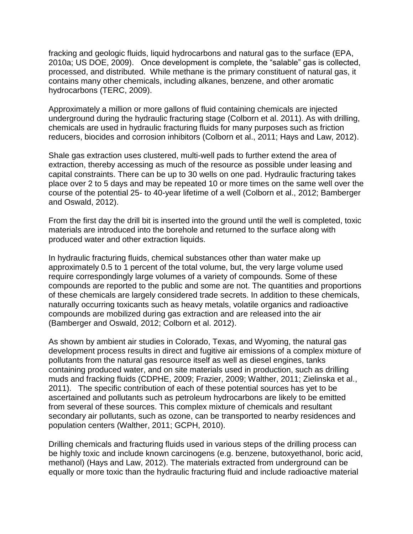fracking and geologic fluids, liquid hydrocarbons and natural gas to the surface (EPA, 2010a; US DOE, 2009). Once development is complete, the "salable" gas is collected, processed, and distributed. While methane is the primary constituent of natural gas, it contains many other chemicals, including alkanes, benzene, and other aromatic hydrocarbons (TERC, 2009).

Approximately a million or more gallons of fluid containing chemicals are injected underground during the hydraulic fracturing stage (Colborn et al. 2011). As with drilling, chemicals are used in hydraulic fracturing fluids for many purposes such as friction reducers, biocides and corrosion inhibitors (Colborn et al., 2011; Hays and Law, 2012).

Shale gas extraction uses clustered, multi-well pads to further extend the area of extraction, thereby accessing as much of the resource as possible under leasing and capital constraints. There can be up to 30 wells on one pad. Hydraulic fracturing takes place over 2 to 5 days and may be repeated 10 or more times on the same well over the course of the potential 25- to 40-year lifetime of a well (Colborn et al., 2012; Bamberger and Oswald, 2012).

From the first day the drill bit is inserted into the ground until the well is completed, toxic materials are introduced into the borehole and returned to the surface along with produced water and other extraction liquids.

In hydraulic fracturing fluids, chemical substances other than water make up approximately 0.5 to 1 percent of the total volume, but, the very large volume used require correspondingly large volumes of a variety of compounds. Some of these compounds are reported to the public and some are not. The quantities and proportions of these chemicals are largely considered trade secrets. In addition to these chemicals, naturally occurring toxicants such as heavy metals, volatile organics and radioactive compounds are mobilized during gas extraction and are released into the air (Bamberger and Oswald, 2012; Colborn et al. 2012).

As shown by ambient air studies in Colorado, Texas, and Wyoming, the natural gas development process results in direct and fugitive air emissions of a complex mixture of pollutants from the natural gas resource itself as well as diesel engines, tanks containing produced water, and on site materials used in production, such as drilling muds and fracking fluids (CDPHE, 2009; Frazier, 2009; Walther, 2011; Zielinska et al., 2011). The specific contribution of each of these potential sources has yet to be ascertained and pollutants such as petroleum hydrocarbons are likely to be emitted from several of these sources. This complex mixture of chemicals and resultant secondary air pollutants, such as ozone, can be transported to nearby residences and population centers (Walther, 2011; GCPH, 2010).

Drilling chemicals and fracturing fluids used in various steps of the drilling process can be highly toxic and include known carcinogens (e.g. benzene, butoxyethanol, boric acid, methanol) (Hays and Law, 2012). The materials extracted from underground can be equally or more toxic than the hydraulic fracturing fluid and include radioactive material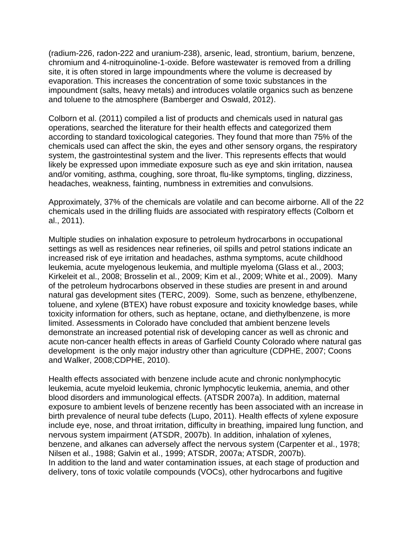(radium-226, radon-222 and uranium-238), arsenic, lead, strontium, barium, benzene, chromium and 4-nitroquinoline-1-oxide. Before wastewater is removed from a drilling site, it is often stored in large impoundments where the volume is decreased by evaporation. This increases the concentration of some toxic substances in the impoundment (salts, heavy metals) and introduces volatile organics such as benzene and toluene to the atmosphere (Bamberger and Oswald, 2012).

Colborn et al. (2011) compiled a list of products and chemicals used in natural gas operations, searched the literature for their health effects and categorized them according to standard toxicological categories. They found that more than 75% of the chemicals used can affect the skin, the eyes and other sensory organs, the respiratory system, the gastrointestinal system and the liver. This represents effects that would likely be expressed upon immediate exposure such as eye and skin irritation, nausea and/or vomiting, asthma, coughing, sore throat, flu-like symptoms, tingling, dizziness, headaches, weakness, fainting, numbness in extremities and convulsions.

Approximately, 37% of the chemicals are volatile and can become airborne. All of the 22 chemicals used in the drilling fluids are associated with respiratory effects (Colborn et al., 2011).

Multiple studies on inhalation exposure to petroleum hydrocarbons in occupational settings as well as residences near refineries, oil spills and petrol stations indicate an increased risk of eye irritation and headaches, asthma symptoms, acute childhood leukemia, acute myelogenous leukemia, and multiple myeloma (Glass et al., 2003; Kirkeleit et al., 2008; Brosselin et al., 2009; Kim et al., 2009; White et al., 2009). Many of the petroleum hydrocarbons observed in these studies are present in and around natural gas development sites (TERC, 2009). Some, such as benzene, ethylbenzene, toluene, and xylene (BTEX) have robust exposure and toxicity knowledge bases, while toxicity information for others, such as heptane, octane, and diethylbenzene, is more limited. Assessments in Colorado have concluded that ambient benzene levels demonstrate an increased potential risk of developing cancer as well as chronic and acute non-cancer health effects in areas of Garfield County Colorado where natural gas development is the only major industry other than agriculture (CDPHE, 2007; Coons and Walker, 2008;CDPHE, 2010).

Health effects associated with benzene include acute and chronic nonlymphocytic leukemia, acute myeloid leukemia, chronic lymphocytic leukemia, anemia, and other blood disorders and immunological effects. (ATSDR 2007a). In addition, maternal exposure to ambient levels of benzene recently has been associated with an increase in birth prevalence of neural tube defects (Lupo, 2011). Health effects of xylene exposure include eye, nose, and throat irritation, difficulty in breathing, impaired lung function, and nervous system impairment (ATSDR, 2007b). In addition, inhalation of xylenes, benzene, and alkanes can adversely affect the nervous system (Carpenter et al., 1978; Nilsen et al., 1988; Galvin et al., 1999; ATSDR, 2007a; ATSDR, 2007b). In addition to the land and water contamination issues, at each stage of production and delivery, tons of toxic volatile compounds (VOCs), other hydrocarbons and fugitive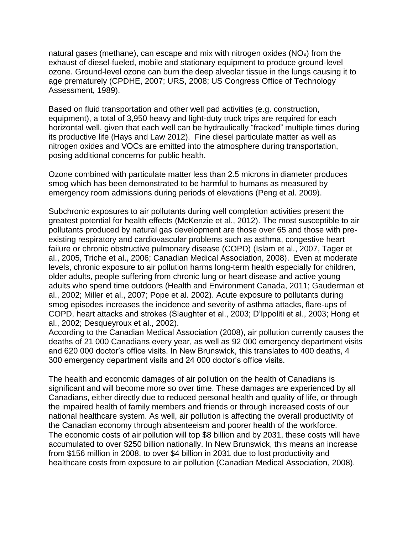natural gases (methane), can escape and mix with nitrogen oxides ( $NO<sub>x</sub>$ ) from the exhaust of diesel-fueled, mobile and stationary equipment to produce ground-level ozone. Ground-level ozone can burn the deep alveolar tissue in the lungs causing it to age prematurely (CPDHE, 2007; URS, 2008; US Congress Office of Technology Assessment, 1989).

Based on fluid transportation and other well pad activities (e.g. construction, equipment), a total of 3,950 heavy and light-duty truck trips are required for each horizontal well, given that each well can be hydraulically "fracked" multiple times during its productive life (Hays and Law 2012). Fine diesel particulate matter as well as nitrogen oxides and VOCs are emitted into the atmosphere during transportation, posing additional concerns for public health.

Ozone combined with particulate matter less than 2.5 microns in diameter produces smog which has been demonstrated to be harmful to humans as measured by emergency room admissions during periods of elevations (Peng et al. 2009).

Subchronic exposures to air pollutants during well completion activities present the greatest potential for health effects (McKenzie et al., 2012). The most susceptible to air pollutants produced by natural gas development are those over 65 and those with preexisting respiratory and cardiovascular problems such as asthma, congestive heart failure or chronic obstructive pulmonary disease (COPD) (Islam et al., 2007, Tager et al., 2005, Triche et al., 2006; Canadian Medical Association, 2008). Even at moderate levels, chronic exposure to air pollution harms long-term health especially for children, older adults, people suffering from chronic lung or heart disease and active young adults who spend time outdoors (Health and Environment Canada, 2011; Gauderman et al., 2002; Miller et al., 2007; Pope et al. 2002). Acute exposure to pollutants during smog episodes increases the incidence and severity of asthma attacks, flare-ups of COPD, heart attacks and strokes (Slaughter et al., 2003; D'Ippoliti et al., 2003; Hong et al., 2002; Desqueyroux et al., 2002).

According to the Canadian Medical Association (2008), air pollution currently causes the deaths of 21 000 Canadians every year, as well as 92 000 emergency department visits and 620 000 doctor's office visits. In New Brunswick, this translates to 400 deaths, 4 300 emergency department visits and 24 000 doctor's office visits.

The health and economic damages of air pollution on the health of Canadians is significant and will become more so over time. These damages are experienced by all Canadians, either directly due to reduced personal health and quality of life, or through the impaired health of family members and friends or through increased costs of our national healthcare system. As well, air pollution is affecting the overall productivity of the Canadian economy through absenteeism and poorer health of the workforce. The economic costs of air pollution will top \$8 billion and by 2031, these costs will have accumulated to over \$250 billion nationally. In New Brunswick, this means an increase from \$156 million in 2008, to over \$4 billion in 2031 due to lost productivity and healthcare costs from exposure to air pollution (Canadian Medical Association, 2008).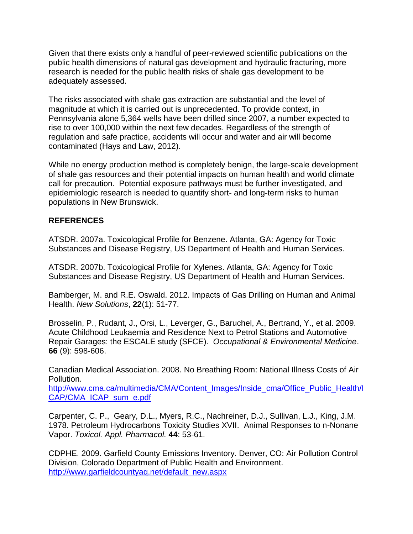Given that there exists only a handful of peer-reviewed scientific publications on the public health dimensions of natural gas development and hydraulic fracturing, more research is needed for the public health risks of shale gas development to be adequately assessed.

The risks associated with shale gas extraction are substantial and the level of magnitude at which it is carried out is unprecedented. To provide context, in Pennsylvania alone 5,364 wells have been drilled since 2007, a number expected to rise to over 100,000 within the next few decades. Regardless of the strength of regulation and safe practice, accidents will occur and water and air will become contaminated (Hays and Law, 2012).

While no energy production method is completely benign, the large-scale development of shale gas resources and their potential impacts on human health and world climate call for precaution. Potential exposure pathways must be further investigated, and epidemiologic research is needed to quantify short- and long-term risks to human populations in New Brunswick.

## **REFERENCES**

ATSDR. 2007a. Toxicological Profile for Benzene. Atlanta, GA: Agency for Toxic Substances and Disease Registry, US Department of Health and Human Services.

ATSDR. 2007b. Toxicological Profile for Xylenes. Atlanta, GA: Agency for Toxic Substances and Disease Registry, US Department of Health and Human Services.

Bamberger, M. and R.E. Oswald. 2012. Impacts of Gas Drilling on Human and Animal Health. *New Solutions*, **22**(1): 51-77.

Brosselin, P., Rudant, J., Orsi, L., Leverger, G., Baruchel, A., Bertrand, Y., et al. 2009. Acute Childhood Leukaemia and Residence Next to Petrol Stations and Automotive Repair Garages: the ESCALE study (SFCE). *Occupational & Environmental Medicine*. **66** (9): 598-606.

Canadian Medical Association. 2008. No Breathing Room: National Illness Costs of Air Pollution.

[http://www.cma.ca/multimedia/CMA/Content\\_Images/Inside\\_cma/Office\\_Public\\_Health/I](http://www.cma.ca/multimedia/CMA/Content_Images/Inside_cma/Office_Public_Health/ICAP/CMA_ICAP_sum_e.pdf) [CAP/CMA\\_ICAP\\_sum\\_e.pdf](http://www.cma.ca/multimedia/CMA/Content_Images/Inside_cma/Office_Public_Health/ICAP/CMA_ICAP_sum_e.pdf)

Carpenter, C. P., Geary, D.L., Myers, R.C., Nachreiner, D.J., Sullivan, L.J., King, J.M. 1978. Petroleum Hydrocarbons Toxicity Studies XVII. Animal Responses to n-Nonane Vapor. *Toxicol. Appl. Pharmacol.* **44**: 53-61.

CDPHE. 2009. Garfield County Emissions Inventory. Denver, CO: Air Pollution Control Division, Colorado Department of Public Health and Environment. [http://www.garfieldcountyaq.net/default\\_new.aspx](http://www.garfieldcountyaq.net/default_new.aspx)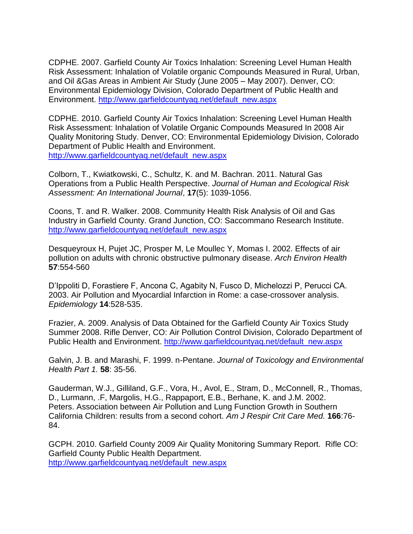CDPHE. 2007. Garfield County Air Toxics Inhalation: Screening Level Human Health Risk Assessment: Inhalation of Volatile organic Compounds Measured in Rural, Urban, and Oil &Gas Areas in Ambient Air Study (June 2005 – May 2007). Denver, CO: Environmental Epidemiology Division, Colorado Department of Public Health and Environment. [http://www.garfieldcountyaq.net/default\\_new.aspx](http://www.garfieldcountyaq.net/default_new.aspx)

CDPHE. 2010. Garfield County Air Toxics Inhalation: Screening Level Human Health Risk Assessment: Inhalation of Volatile Organic Compounds Measured In 2008 Air Quality Monitoring Study. Denver, CO: Environmental Epidemiology Division, Colorado Department of Public Health and Environment. [http://www.garfieldcountyaq.net/default\\_new.aspx](http://www.garfieldcountyaq.net/default_new.aspx)

Colborn, T., Kwiatkowski, C., Schultz, K. and M. Bachran. 2011. Natural Gas Operations from a Public Health Perspective. *Journal of Human and Ecological Risk Assessment: An International Journal*, **17**(5): 1039-1056.

Coons, T. and R. Walker. 2008. Community Health Risk Analysis of Oil and Gas Industry in Garfield County. Grand Junction, CO: Saccommano Research Institute. [http://www.garfieldcountyaq.net/default\\_new.aspx](http://www.garfieldcountyaq.net/default_new.aspx)

Desqueyroux H, Pujet JC, Prosper M, Le Moullec Y, Momas I. 2002. Effects of air pollution on adults with chronic obstructive pulmonary disease. *Arch Environ Health* **57**:554-560

D'Ippoliti D, Forastiere F, Ancona C, Agabity N, Fusco D, Michelozzi P, Perucci CA. 2003. Air Pollution and Myocardial Infarction in Rome: a case-crossover analysis. *Epidemiology* **14**:528-535.

Frazier, A. 2009. Analysis of Data Obtained for the Garfield County Air Toxics Study Summer 2008. Rifle Denver, CO: Air Pollution Control Division, Colorado Department of Public Health and Environment. http://www.garfieldcountyag.net/default\_new.aspx

Galvin, J. B. and Marashi, F. 1999. n-Pentane. *Journal of Toxicology and Environmental Health Part 1.* **58**: 35-56.

Gauderman, W.J., Gilliland, G.F., Vora, H., Avol, E., Stram, D., McConnell, R., Thomas, D., Lurmann, .F, Margolis, H.G., Rappaport, E.B., Berhane, K. and J.M. 2002. Peters. Association between Air Pollution and Lung Function Growth in Southern California Children: results from a second cohort. *Am J Respir Crit Care Med.* **166**:76- 84.

GCPH. 2010. Garfield County 2009 Air Quality Monitoring Summary Report. Rifle CO: Garfield County Public Health Department. [http://www.garfieldcountyaq.net/default\\_new.aspx](http://www.garfieldcountyaq.net/default_new.aspx)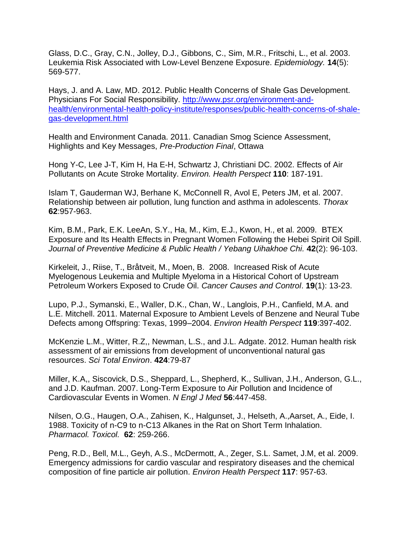Glass, D.C., Gray, C.N., Jolley, D.J., Gibbons, C., Sim, M.R., Fritschi, L., et al. 2003. Leukemia Risk Associated with Low-Level Benzene Exposure. *Epidemiology.* **14**(5): 569-577.

Hays, J. and A. Law, MD. 2012. Public Health Concerns of Shale Gas Development. Physicians For Social Responsibility. [http://www.psr.org/environment-and](http://www.psr.org/environment-and-health/environmental-health-policy-institute/responses/public-health-concerns-of-shale-gas-development.html)[health/environmental-health-policy-institute/responses/public-health-concerns-of-shale](http://www.psr.org/environment-and-health/environmental-health-policy-institute/responses/public-health-concerns-of-shale-gas-development.html)[gas-development.html](http://www.psr.org/environment-and-health/environmental-health-policy-institute/responses/public-health-concerns-of-shale-gas-development.html)

Health and Environment Canada. 2011. Canadian Smog Science Assessment, Highlights and Key Messages, *Pre-Production Final*, Ottawa

Hong Y-C, Lee J-T, Kim H, Ha E-H, Schwartz J, Christiani DC. 2002. Effects of Air Pollutants on Acute Stroke Mortality. *Environ. Health Perspect* **110**: 187-191.

Islam T, Gauderman WJ, Berhane K, McConnell R, Avol E, Peters JM, et al. 2007. Relationship between air pollution, lung function and asthma in adolescents. *Thorax* **62**:957-963.

Kim, B.M., Park, E.K. LeeAn, S.Y., Ha, M., Kim, E.J., Kwon, H., et al. 2009. BTEX Exposure and Its Health Effects in Pregnant Women Following the Hebei Spirit Oil Spill. *Journal of Preventive Medicine & Public Health / Yebang Uihakhoe Chi.* **42**(2): 96-103.

Kirkeleit, J., Riise, T., Bråtveit, M., Moen, B. 2008. Increased Risk of Acute Myelogenous Leukemia and Multiple Myeloma in a Historical Cohort of Upstream Petroleum Workers Exposed to Crude Oil. *Cancer Causes and Control*. **19**(1): 13-23.

Lupo, P.J., Symanski, E., Waller, D.K., Chan, W., Langlois, P.H., Canfield, M.A. and L.E. Mitchell. 2011. Maternal Exposure to Ambient Levels of Benzene and Neural Tube Defects among Offspring: Texas, 1999–2004. *Environ Health Perspect* **119**:397-402.

McKenzie L.M., Witter, R.Z,, Newman, L.S., and J.L. Adgate. 2012. Human health risk assessment of air emissions from development of unconventional natural gas resources. *Sci Total Environ*. **424**:79-87

Miller, K.A,, Siscovick, D.S., Sheppard, L., Shepherd, K., Sullivan, J.H., Anderson, G.L., and J.D. Kaufman. 2007. Long-Term Exposure to Air Pollution and Incidence of Cardiovascular Events in Women. *N Engl J Med* **56**:447-458.

Nilsen, O.G., Haugen, O.A., Zahisen, K., Halgunset, J., Helseth, A.,Aarset, A., Eide, I. 1988. Toxicity of n-C9 to n-C13 Alkanes in the Rat on Short Term Inhalation. *Pharmacol. Toxicol.* **62**: 259-266.

Peng, R.D., Bell, M.L., Geyh, A.S., McDermott, A., Zeger, S.L. Samet, J.M, et al. 2009. Emergency admissions for cardio vascular and respiratory diseases and the chemical composition of fine particle air pollution. *Environ Health Perspect* **117**: 957-63.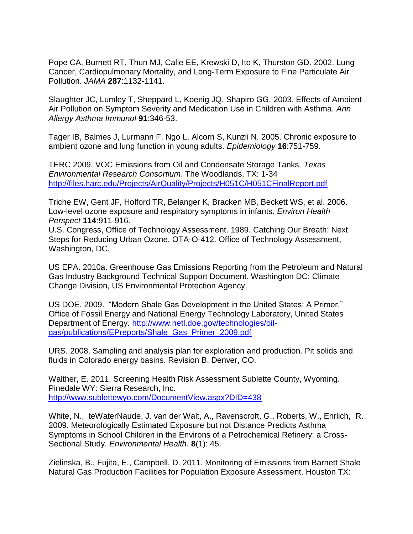Pope CA, Burnett RT, Thun MJ, Calle EE, Krewski D, Ito K, Thurston GD. 2002. Lung Cancer, Cardiopulmonary Mortality, and Long-Term Exposure to Fine Particulate Air Pollution. *JAMA* **287**:1132-1141.

Slaughter JC, Lumley T, Sheppard L, Koenig JQ, Shapiro GG. 2003. Effects of Ambient Air Pollution on Symptom Severity and Medication Use in Children with Asthma. *Ann Allergy Asthma Immunol* **91**:346-53.

Tager IB, Balmes J, Lurmann F, Ngo L, Alcorn S, Kunzli N. 2005. Chronic exposure to ambient ozone and lung function in young adults. *Epidemiology* **16**:751-759.

TERC 2009. VOC Emissions from Oil and Condensate Storage Tanks. *Texas Environmental Research Consortium*. The Woodlands, TX: 1-34 <http://files.harc.edu/Projects/AirQuality/Projects/H051C/H051CFinalReport.pdf>

Triche EW, Gent JF, Holford TR, Belanger K, Bracken MB, Beckett WS, et al. 2006. Low-level ozone exposure and respiratory symptoms in infants. *Environ Health Perspect* **114**:911-916.

U.S. Congress, Office of Technology Assessment. 1989. Catching Our Breath: Next Steps for Reducing Urban Ozone. OTA-O-412. Office of Technology Assessment, Washington, DC.

US EPA. 2010a. Greenhouse Gas Emissions Reporting from the Petroleum and Natural Gas Industry Background Technical Support Document. Washington DC: Climate Change Division, US Environmental Protection Agency.

US DOE. 2009. "Modern Shale Gas Development in the United States: A Primer," Office of Fossil Energy and National Energy Technology Laboratory, United States Department of Energy. [http://www.netl.doe.gov/technologies/oil](http://www.netl.doe.gov/technologies/oil-gas/publications/EPreports/Shale_Gas_Primer_2009.pdf)[gas/publications/EPreports/Shale\\_Gas\\_Primer\\_2009.pdf](http://www.netl.doe.gov/technologies/oil-gas/publications/EPreports/Shale_Gas_Primer_2009.pdf) 

URS. 2008. Sampling and analysis plan for exploration and production. Pit solids and fluids in Colorado energy basins. Revision B. Denver, CO.

Walther, E. 2011. Screening Health Risk Assessment Sublette County, Wyoming. Pinedale WY: Sierra Research, Inc. <http://www.sublettewyo.com/DocumentView.aspx?DID=438>

White, N., teWaterNaude, J. van der Walt, A., Ravenscroft, G., Roberts, W., Ehrlich, R. 2009. Meteorologically Estimated Exposure but not Distance Predicts Asthma Symptoms in School Children in the Environs of a Petrochemical Refinery: a Cross-Sectional Study. *Environmental Health*. **8**(1): 45.

Zielinska, B., Fujita, E., Campbell, D. 2011. Monitoring of Emissions from Barnett Shale Natural Gas Production Facilities for Population Exposure Assessment. Houston TX: